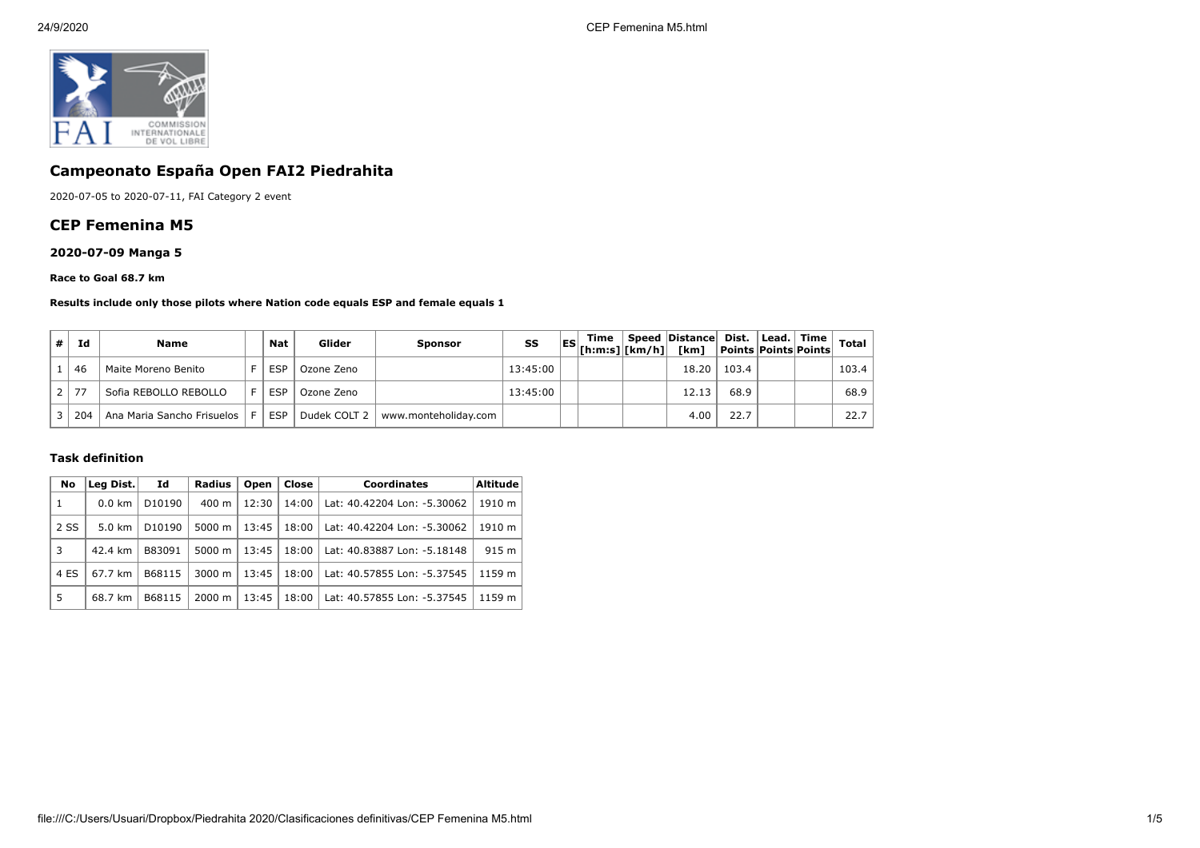

# **Campeonato España Open FAI2 Piedrahita**

2020-07-05 to 2020-07-11, FAI Category 2 event

### **CEP Femenina M5**

## **2020-07-09 Manga 5**

#### **Race to Goal 68.7 km**

#### **Results include only those pilots where Nation code equals ESP and female equals 1**

| Id                   | <b>Name</b>                    | <b>Nat</b> | Glider       | <b>Sponsor</b>       | SS       | Time<br>$\begin{bmatrix} \text{ES} \\ \text{[h:m:s]} \end{bmatrix}$ $\begin{bmatrix} \text{km/h} \\ \text{km/h} \end{bmatrix}$ | Speed Distance Dist.<br>[km] | <b>Points Points Points</b> | $ $ Lead. $ $ Time $ $ | <b>Total</b> |
|----------------------|--------------------------------|------------|--------------|----------------------|----------|--------------------------------------------------------------------------------------------------------------------------------|------------------------------|-----------------------------|------------------------|--------------|
| 46                   | Maite Moreno Benito            | <b>ESP</b> | Ozone Zeno   |                      | 13:45:00 |                                                                                                                                | 18.20                        | 103.4                       |                        | 103.4        |
| 77<br>2 <sub>1</sub> | Sofia REBOLLO REBOLLO          | <b>ESP</b> | Ozone Zeno   |                      | 13:45:00 |                                                                                                                                | 12.13                        | 68.9                        |                        | 68.9         |
| 204                  | Ana Maria Sancho Frisuelos   F | <b>ESP</b> | Dudek COLT 2 | www.monteholiday.com |          |                                                                                                                                | 4.00                         | 22.7                        |                        | 22.7         |

#### **Task definition**

| No   | Leg Dist.        | Id                 | <b>Radius</b>      | Open  | <b>Close</b> | <b>Coordinates</b>          | <b>Altitude</b> |
|------|------------------|--------------------|--------------------|-------|--------------|-----------------------------|-----------------|
| 1    | $0.0 \text{ km}$ | D <sub>10190</sub> | 400 m              | 12:30 | 14:00        | Lat: 40.42204 Lon: -5.30062 | 1910 m          |
| 2 SS | $5.0 \text{ km}$ | D <sub>10190</sub> | 5000 m             | 13:45 | 18:00        | Lat: 40.42204 Lon: -5.30062 | 1910 m          |
| 3    | 42.4 km          | B83091             | $5000 \; m$        | 13:45 | 18:00        | Lat: 40.83887 Lon: -5.18148 | 915 m           |
| 4 ES | 67.7 km          | B68115             | $3000 \; \text{m}$ | 13:45 | 18:00        | Lat: 40.57855 Lon: -5.37545 | 1159 m          |
| 5    | 68.7 km          | B68115             | $2000 \; \text{m}$ | 13:45 | 18:00        | Lat: 40.57855 Lon: -5.37545 | 1159 m          |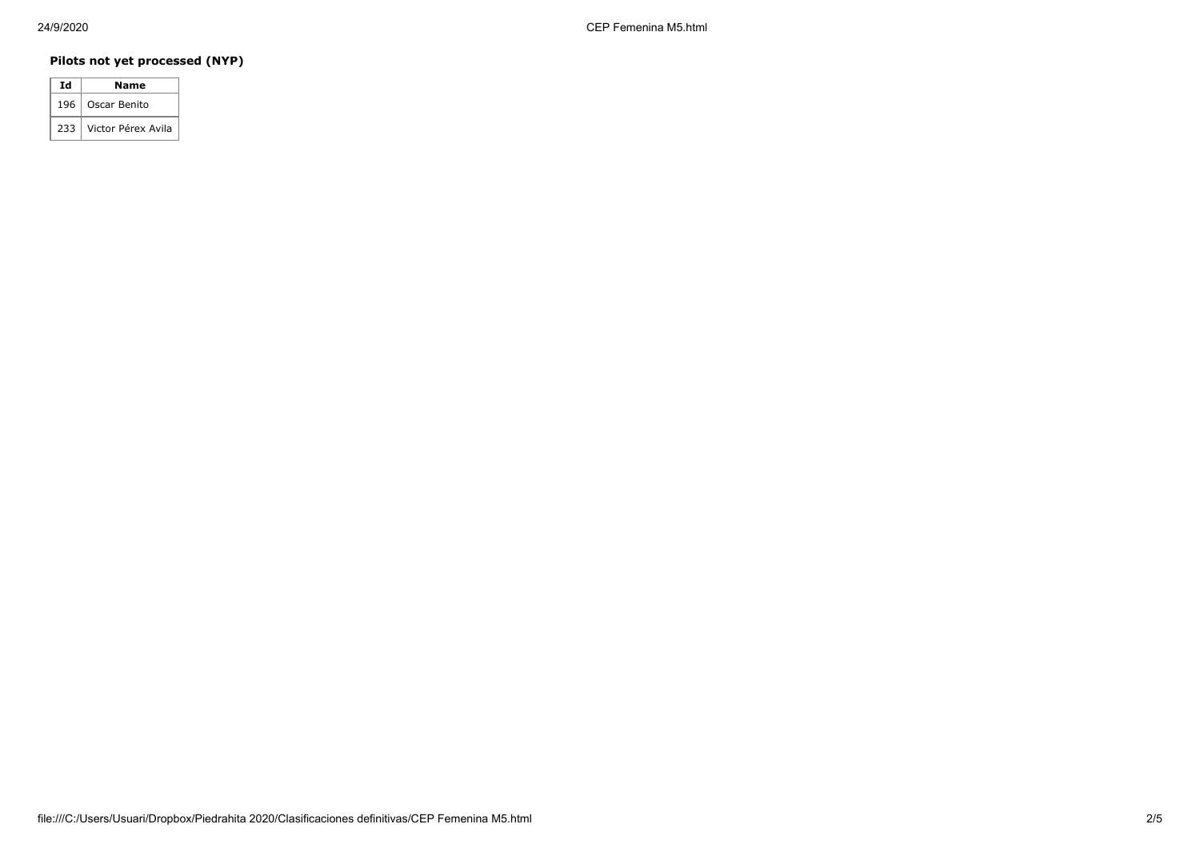## **Pilots not yet processed (NYP)**

| Ιd  | Name               |
|-----|--------------------|
| 196 | Oscar Benito       |
| 233 | Victor Pérex Avila |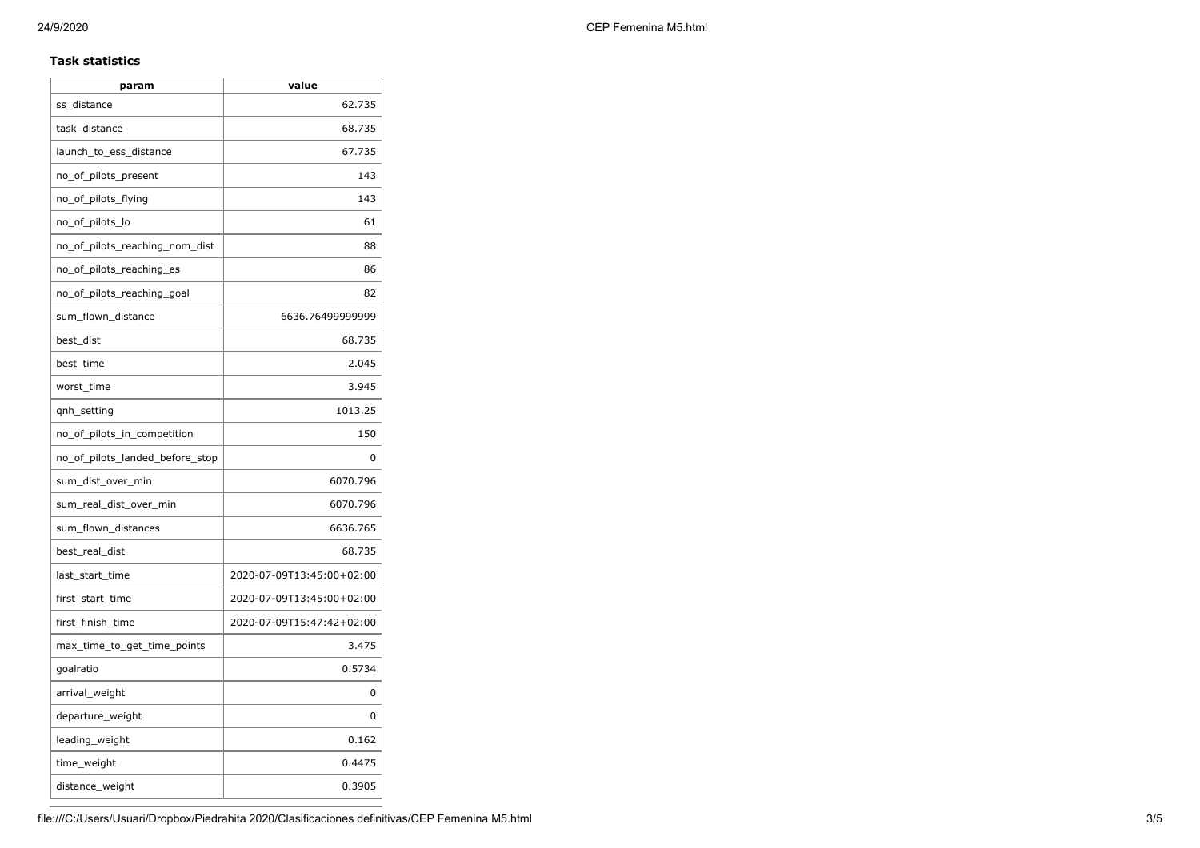### **Task statistics**

| param                           | value                     |
|---------------------------------|---------------------------|
| ss_distance                     | 62.735                    |
| task_distance                   | 68.735                    |
| launch_to_ess_distance          | 67.735                    |
| no_of_pilots_present            | 143                       |
| no_of_pilots_flying             | 143                       |
| no_of_pilots_lo                 | 61                        |
| no_of_pilots_reaching_nom_dist  | 88                        |
| no_of_pilots_reaching_es        | 86                        |
| no_of_pilots_reaching_goal      | 82                        |
| sum_flown_distance              | 6636.76499999999          |
| best dist                       | 68.735                    |
| best_time                       | 2.045                     |
| worst_time                      | 3.945                     |
| qnh_setting                     | 1013.25                   |
| no_of_pilots_in_competition     | 150                       |
| no_of_pilots_landed_before_stop | 0                         |
| sum_dist_over_min               | 6070.796                  |
| sum_real_dist_over_min          | 6070.796                  |
| sum_flown_distances             | 6636.765                  |
| best_real_dist                  | 68.735                    |
| last_start_time                 | 2020-07-09T13:45:00+02:00 |
| first_start_time                | 2020-07-09T13:45:00+02:00 |
| first_finish_time               | 2020-07-09T15:47:42+02:00 |
| max_time_to_get_time_points     | 3.475                     |
| goalratio                       | 0.5734                    |
| arrival_weight                  | 0                         |
| departure_weight                | 0                         |
| leading_weight                  | 0.162                     |
| time_weight                     | 0.4475                    |
| distance_weight                 | 0.3905                    |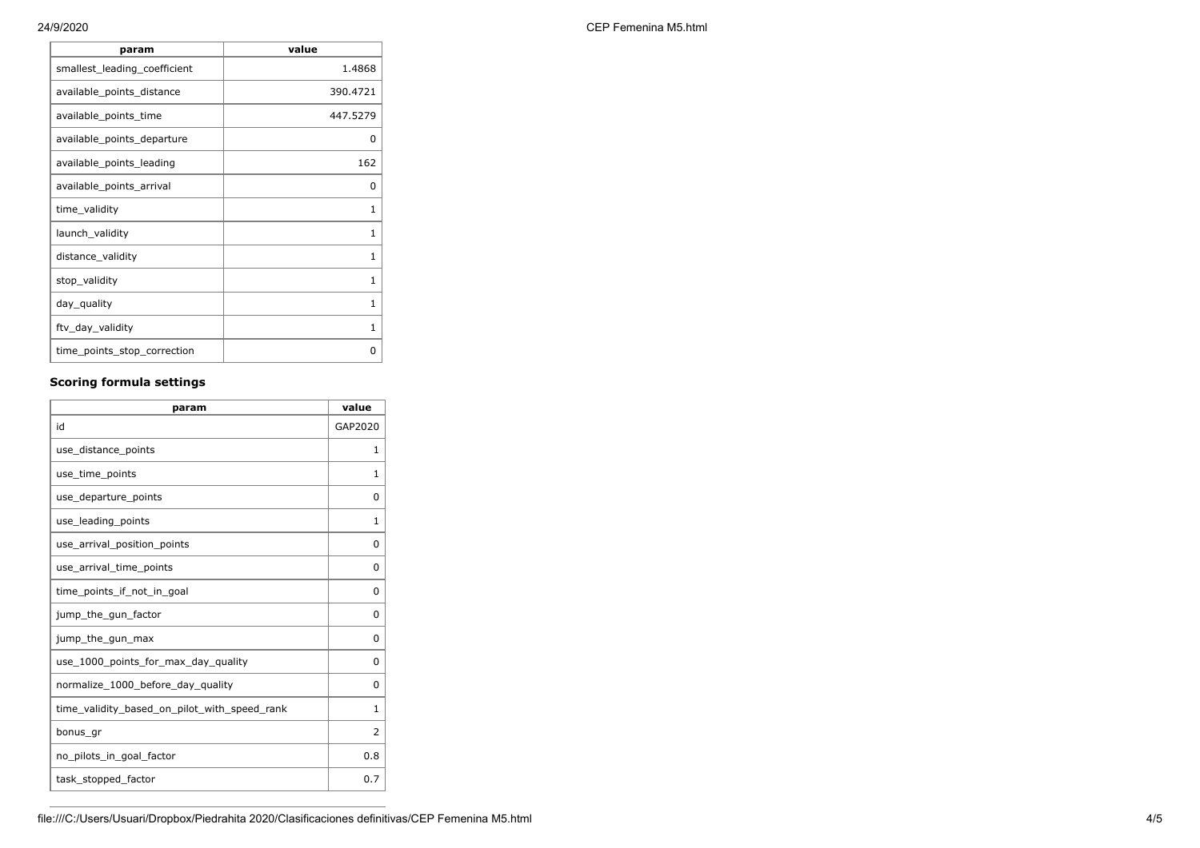| 24/9/2020 | CEP Femenina M5.html |
|-----------|----------------------|
|-----------|----------------------|

| value        |
|--------------|
| 1.4868       |
| 390.4721     |
| 447.5279     |
| 0            |
| 162          |
| 0            |
| 1            |
| 1            |
| 1            |
| $\mathbf{1}$ |
| $\mathbf{1}$ |
| 1            |
| 0            |
|              |

## **Scoring formula settings**

| param                                        | value          |
|----------------------------------------------|----------------|
| id                                           | GAP2020        |
| use_distance_points                          | 1              |
| use_time_points                              | 1              |
| use_departure_points                         | 0              |
| use_leading_points                           | 1              |
| use_arrival_position_points                  | 0              |
| use_arrival_time_points                      | 0              |
| time points if not in goal                   | 0              |
| jump_the_gun_factor                          | 0              |
| jump_the_gun_max                             | 0              |
| use 1000 points for max day quality          | 0              |
| normalize_1000_before_day_quality            | 0              |
| time_validity_based_on_pilot_with_speed_rank | $\mathbf{1}$   |
| bonus_gr                                     | $\overline{2}$ |
| no_pilots_in_goal_factor                     | 0.8            |
| task_stopped_factor                          | 0.7            |